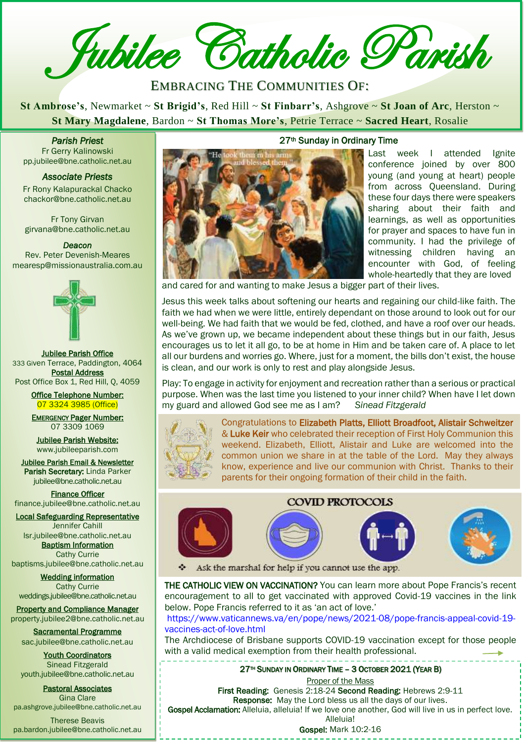**Z** Jubilee Catholic Parish

# EMBRACING THE COMMUNITIES OF:

**St Ambrose's**, Newmarket ~ **St Brigid's**, Red Hill ~ **St Finbarr's**, Ashgrove ~ **St Joan of Arc**, Herston ~ **St Mary Magdalene**, Bardon ~ **St Thomas More's**, Petrie Terrace ~ **Sacred Heart**, Rosalie

*Parish Priest*  Fr Gerry Kalinowski pp.jubilee@bne.catholic.net.au

#### *Associate Priests*

Fr Rony Kalapurackal Chacko chackor@bne.catholic.net.au

Fr Tony Girvan girvana@bne.catholic.net.au

#### *Deacon*

Rev. Peter Devenish-Meares mearesp@missionaustralia.com.au



Jubilee Parish Office 333 Given Terrace, Paddington, 4064 Postal Address Post Office Box 1, Red Hill, Q, 4059

> Office Telephone Number: 07 3324 3985 (Office)

> EMERGENCY Pager Number: 07 3309 1069

Jubilee Parish Website: [www.jubileeparish.com](http://www.jubileeparish.com/)

Jubilee Parish Email & Newsletter Parish Secretary: Linda Parker [jubilee@bne.catholic.net.au](mailto:jubilee@bne.catholic.net.au)

Finance Officer [finance.jubilee@bne.catholic.net.au](mailto:finance.jubilee@bne.catholic.net.au)

Local Safeguarding Representative Jennifer Cahill

[lsr.jubilee@bne.catholic.net.au](mailto:lsr.jubilee@bne.catholic.net.au) **Baptism Information** Cathy Currie

[baptisms.jubilee@bne.catholic.net.au](mailto:baptisms.jubilee@bne.catholic.net.au)

Wedding information Cathy Currie [weddings.jubilee@bne.catholic.net.au](mailto:weddings.jubilee@bne.catholic.net.au)

Property and Compliance Manager property.jubilee2@bne.catholic.net.au

Sacramental Programme [sac.jubilee@bne.catholic.net.au](mailto:sac.jubilee@bne.catholic.net.au)

Youth Coordinators Sinead Fitzgerald [youth.jubilee@bne.catholic.net.au](mailto:youth.jubilee@bne.catholic.net.au)

Pastoral Associates Gina Clare [pa.ashgrove.jubilee@bne.catholic.net.au](mailto:pa.ashgrove.jubilee@bne.catholic.net.au)

Therese Beavis pa.bardon.jubilee@bne.catholic.net.au

# 27th Sunday in Ordinary Time **Parish Priest**<br>
Priest<br>
Priest<br>
Priest<br>
Associate Priests<br>
Fr Rony Kalapurackal Chacko<br>
Priest<br>
Priest<br>
Priest<br>
Priest<br>
Associate Priests<br>
Priest<br>
Priest<br> [Cath](mailto:pp.jubilee@bne.catholic.net.au)olic Priest<br>
Priest<br>
Priest<br>
Catholic Priest<br>
Catholic Priest<br>

Last week I attended Ignite conference joined by over 800 young (and young at heart) people from across Queensland. During these four days there were speakers sharing about their faith and learnings, as well as opportunities for prayer and spaces to have fun in community. I had the privilege of witnessing children having an encounter with God, of feeling whole-heartedly that they are loved

and cared for and wanting to make Jesus a bigger part of their lives.

Jesus this week talks about softening our hearts and regaining our child-like faith. The faith we had when we were little, entirely dependant on those around to look out for our well-being. We had faith that we would be fed, clothed, and have a roof over our heads. As we've grown up, we became independent about these things but in our faith, Jesus encourages us to let it all go, to be at home in Him and be taken care of. A place to let all our burdens and worries go. Where, just for a moment, the bills don't exist, the house is clean, and our work is only to rest and play alongside Jesus.

Play: To engage in activity for enjoyment and recreation rather than a serious or practical purpose. When was the last time you listened to your inner child? When have I let down my guard and allowed God see me as I am? *Sinead Fitzgerald*



Congratulations to Elizabeth Platts, Elliott Broadfoot, Alistair Schweitzer & Luke Keir who celebrated their reception of First Holy Communion this weekend. Elizabeth, Elliott, Alistair and Luke are welcomed into the common union we share in at the table of the Lord. May they always know, experience and live our communion with Christ. Thanks to their parents for their ongoing formation of their child in the faith.







Ask the marshal for help if you cannot use the app.

THE CATHOLIC VIEW ON VACCINATION? You can learn more about Pope Francis's recent encouragement to all to get vaccinated with approved Covid-19 vaccines in the link below. Pope Francis referred to it as 'an act of love.'

https://www.vaticannews.va/en/pope/news/2021-08/pope-francis-appeal-covid-19 vaccines-act-of-love.html

The Archdiocese of Brisbane supports COVID-19 vaccination except for those people with a valid medical exemption from their health professional.

27<sup>™</sup> SUNDAY IN ORDINARY TIME - 3 OCTOBER 2021 (YEAR B)

**Proper of the Mass** 

First Reading: Genesis 2:18-24 Second Reading: Hebrews 2:9-11 Response: May the Lord bless us all the days of our lives.

Gospel Acclamation: Alleluia, alleluia! If we love one another, God will live in us in perfect love.

Alleluia!

Gospel: Mark 10:2-16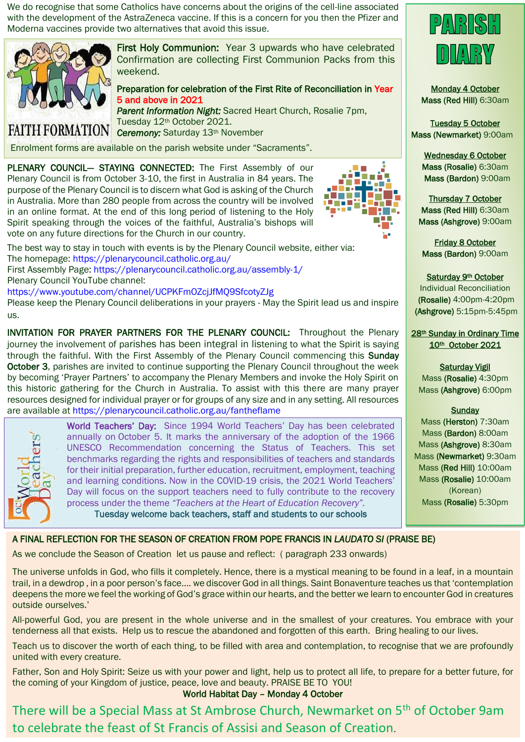We do recognise that some Catholics have concerns about the origins of the cell-line associated with the development of the AstraZeneca vaccine. If this is a concern for you then the Pfizer and Moderna vaccines provide two alternatives that avoid this issue.



First Holy Communion: Year 3 upwards who have celebrated Confirmation are collecting First Communion Packs from this weekend.

Preparation for celebration of the First Rite of Reconciliation in Year 5 and above in 2021

*Parent Information Night:* Sacred Heart Church, Rosalie 7pm, Tuesday 12th October 2021. FAITH FORMATION Ceremony: Saturday 13th November

Enrolment forms are available on the parish website under "Sacraments".

PLENARY COUNCIL- STAYING CONNECTED: The First Assembly of our Plenary Council is from October 3-10, the first in Australia in 84 years. The purpose of the Plenary Council is to discern what God is asking of the Church in Australia. More than 280 people from across the country will be involved in an online format. At the end of this long period of listening to the Holy Spirit speaking through the voices of the faithful, Australia's bishops will vote on any future directions for the Church in our country. j



The best way to stay in touch with events is by the Plenary Council website, either via: The homepage: https://plenarycouncil.catholic.org.au/ First Assembly Page: https://plenarycouncil.catholic.org.au/assembly-1/

Plenary Council YouTube channel:

https://www.youtube.com/channel/UCPKFmOZcjJfMQ9SfcotyZJg

Please keep the Plenary Council deliberations in your prayers - May the Spirit lead us and inspire us.

INVITATION FOR PRAYER PARTNERS FOR THE PLENARY COUNCIL: Throughout the Plenary journey the involvement of parishes has been integral in listening to what the Spirit is saying through the faithful. With the First Assembly of the Plenary Council commencing this Sunday October 3, parishes are invited to continue supporting the Plenary Council throughout the week by becoming 'Prayer Partners' to accompany the Plenary Members and invoke the Holy Spirit on this historic gathering for the Church in Australia. To assist with this there are many prayer resources designed for individual prayer or for groups of any size and in any setting. All resources are available at https://plenarycouncil.catholic.org.au/fantheflame



World Teachers' Day: Since 1994 World Teachers' Day has been celebrated annually on October 5. It marks the anniversary of the adoption of the 1966 UNESCO Recommendation concerning the Status of Teachers. This set benchmarks regarding the rights and responsibilities of teachers and standards for their initial preparation, further education, recruitment, employment, teaching and learning conditions. Now in the COVID-19 crisis, the 2021 World Teachers' Day will focus on the support teachers need to fully contribute to the recovery process under the theme *"Teachers at the Heart of Education Recovery".*

Tuesday welcome back teachers, staff and students to our schools



Monday 4 October Mass (Red Hill) 6:30am

Tuesday 5 October Mass (Newmarket) 9:00am

> Wednesday 6 October Mass (Rosalie) 6:30am Mass (Bardon) 9:00am

Thursday 7 October Mass (Red Hill) 6:30am Mass (Ashgrove) 9:00am

Friday 8 October Mass (Bardon) 9:00am

Saturday 9th October

Individual Reconciliation (Rosalie) 4:00pm-4:20pm (Ashgrove) 5:15pm-5:45pm

28th Sunday in Ordinary Time 10th October 2021

#### Saturday Vigil

Mass (Rosalie) 4:30pm Mass (Ashgrove) 6:00pm

**Sunday** 

Mass (Herston) 7:30am Mass (Bardon) 8:00am Mass (Ashgrove) 8:30am Mass (Newmarket) 9:30am Mass (Red Hill) 10:00am Mass (Rosalie) 10:00am (Korean) Mass (Rosalie) 5:30pm

## A FINAL REFLECTION FOR THE SEASON OF CREATION FROM POPE FRANCIS IN *LAUDATO SI* (PRAISE BE)

As we conclude the Season of Creation let us pause and reflect: ( paragraph 233 onwards)

The universe unfolds in God, who fills it completely. Hence, there is a mystical meaning to be found in a leaf, in a mountain trail, in a dewdrop , in a poor person's face…. we discover God in all things. Saint Bonaventure teaches us that 'contemplation deepens the more we feel the working of God's grace within our hearts, and the better we learn to encounter God in creatures outside ourselves.'

All-powerful God, you are present in the whole universe and in the smallest of your creatures. You embrace with your tenderness all that exists. Help us to rescue the abandoned and forgotten of this earth. Bring healing to our lives.

Teach us to discover the worth of each thing, to be filled with area and contemplation, to recognise that we are profoundly united with every creature.

Father, Son and Holy Spirit: Seize us with your power and light, help us to protect all life, to prepare for a better future, for the coming of your Kingdom of justice, peace, love and beauty. PRAISE BE TO YOU!

# World Habitat Day – Monday 4 October

There will be a Special Mass at St Ambrose Church, Newmarket on 5th of October 9am to celebrate the feast of St Francis of Assisi and Season of Creation.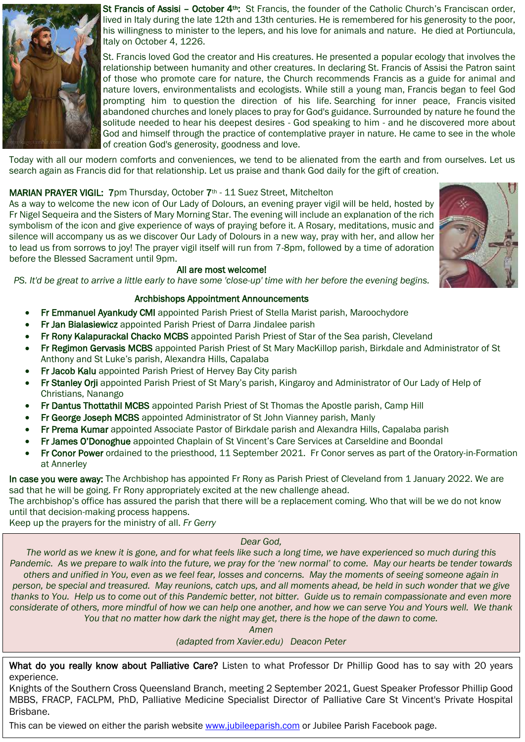

St Francis of Assisi - October 4<sup>th</sup>: St Francis, the founder of the Catholic Church's Franciscan order, lived in Italy during the late 12th and 13th centuries. He is remembered for his generosity to the poor, his willingness to minister to the lepers, and his love for animals and nature. He died at Portiuncula, Italy on October 4, 1226.

St. Francis loved God the creator and His creatures. He presented a popular ecology that involves the relationship between humanity and other creatures. In declaring St. Francis of Assisi the Patron saint of those who promote care for nature, the Church recommends Francis as a guide for animal and nature lovers, environmentalists and ecologists. While still a young man, Francis began to feel God prompting him to question the direction of his life. Searching for inner peace, Francis visited abandoned churches and lonely places to pray for God's guidance. Surrounded by nature he found the solitude needed to hear his deepest desires - God speaking to him - and he discovered more about God and himself through the practice of contemplative prayer in nature. He came to see in the whole of creation God's generosity, goodness and love.

Today with all our modern comforts and conveniences, we tend to be alienated from the earth and from ourselves. Let us Foady man all bar modern connerts and convenienced, he tend to be allohated hom the carth and hom cart<br>search agai[n as Francis did for that relationship. Let us praise and thank God daily for the gift of creation](https://www.google.com/imgres?imgurl=http%3A%2F%2Fwww.sfccdow.catholic.edu.au%2Fwp-content%2Fuploads%2F2017%2F0%201%2FStFancisOfAssisi.jpg&imgrefurl=http%3A%2F%2Fwww.sfccdo). *God,* 

# **MARIAN PRAYER VIGIL:** 7pm Thursday, October 7<sup>th</sup> - 11 Suez Street, Mitchelton

*experienced so much during this Pandemic.*  As a way to [welcome the new icon of Our Lady of Dolours, an evening prayer vigil will be held, hosted by](https://www.google.com/imgres?imgurl=http%3A%2F%2Fwww.sfccdow.catholic.edu.au%2Fwp-content%2Fuploads%2F2017%2F0%201%2FStFancisOfAssisi.jpg&imgrefurl=http%3A%2F%2Fwww.sfccdo) *As we prepare to walk into the future, we pray for the 'new normal' to come.*  Fr Nigel Seq[ueira and the Sisters of Mary Morning Star. The evening will include an explanation of the rich](https://www.google.com/imgres?imgurl=http%3A%2F%2Fwww.sfccdow.catholic.edu.au%2Fwp-content%2Fuploads%2F2017%2F0%201%2FStFancisOfAssisi.jpg&imgrefurl=http%3A%2F%2Fwww.sfccdo) *[May our hearts be tender towards others and unified in You even as we feel fear, losses](https://www.google.com/imgres?imgurl=http%3A%2F%2Fwww.sfccdow.catholic.edu.au%2Fwp-content%2Fuploads%2F2017%2F0%201%2FStFancisOfAssisi.jpg&imgrefurl=http%3A%2F%2Fwww.sfccdo)*  symbolism of the icon and give experience of ways of praying before it. A Rosary, meditations, music and *and concerns.*  silence will a[ccompany us as we discover Our Lady of Dolours in a new way, pray with her, and allow her](https://www.google.com/imgres?imgurl=http%3A%2F%2Fwww.sfccdow.catholic.edu.au%2Fwp-content%2Fuploads%2F2017%2F0%201%2FStFancisOfAssisi.jpg&imgrefurl=http%3A%2F%2Fwww.sfccdo) *[May the moments of seeing someone again in person, be special and treasured.](https://www.google.com/imgres?imgurl=http%3A%2F%2Fwww.sfccdow.catholic.edu.au%2Fwp-content%2Fuploads%2F2017%2F0%201%2FStFancisOfAssisi.jpg&imgrefurl=http%3A%2F%2Fwww.sfccdo)*  to lead us from sorrows to joy! The prayer vigil itself will run from 7-8pm, followed by a time of adoration *[May reunions, catch ups, and all moments ahead, be held in such wonder that we give](https://www.google.com/imgres?imgurl=http%3A%2F%2Fwww.sfccdow.catholic.edu.au%2Fwp-content%2Fuploads%2F2017%2F0%201%2FStFancisOfAssisi.jpg&imgrefurl=http%3A%2F%2Fwww.sfccdo)*  before the Blessed Sacrament until 9pm.

# *[All are most welcome!](https://www.google.com/imgres?imgurl=http%3A%2F%2Fwww.sfccdow.catholic.edu.au%2Fwp-content%2Fuploads%2F2017%2F0%201%2FStFancisOfAssisi.jpg&imgrefurl=http%3A%2F%2Fwww.sfccdo)*

*Help us to come out of this Pandemic better, not bitter. [Guide us to remain compassionate and even more considerate of others, more mindful of](https://www.google.com/imgres?imgurl=http%3A%2F%2Fwww.sfccdow.catholic.edu.au%2Fwp-content%2Fuploads%2F2017%2F0%201%2FStFancisOfAssisi.jpg&imgrefurl=http%3A%2F%2Fwww.sfccdo)  PS. It'd be [great to arrive a little early to have some 'close-up' time with her before the evening begins.](https://www.google.com/imgres?imgurl=http%3A%2F%2Fwww.sfccdow.catholic.edu.au%2Fwp-content%2Fuploads%2F2017%2F0%201%2FStFancisOfAssisi.jpg&imgrefurl=http%3A%2F%2Fwww.sfccdo)*

## Archbishops Appointment Announcements

- **Fr Emmanuel Ayankudy CMI** appointed Parish Priest of Stella Marist parish, Maroochydore
- **Fr Jan Bialasiewicz** appointed Parish Priest of Darra Jindalee parish
- **From From Xavier.edu)** *increase the manners of From mining* **parts.**<br>**The Friendy Kalapurackal Chacko MCBS** appointed Parish Priest of Star of the Sea parish, Cleveland
- . Fr R[egimon Gervasis MCBS appoint](https://www.google.com/imgres?imgurl=http%3A%2F%2Fwww.sfccdow.catholic.edu.au%2Fwp-content%2Fuploads%2F2017%2F0%201%2FStFancisOfAssisi.jpg&imgrefurl=http%3A%2F%2Fwww.sfccdo)ed Parish Priest of St Mary MacKillop parish, Birkdale and Administrator of St Anthony and St Luke's parish, Alexandra Hills, Capalaba
- Fr Jacob Kalu appointed Parish Priest of Hervey Bay City parish
- Fr Stanley Orji appointed Parish Priest of St Mary's parish, Kingaroy and Administrator of Our Lady of Help of Christians, Nanango
- Fr Dantus Thottathil MCBS appointed Parish Priest of St Thomas the Apostle parish, Camp Hill
- Fr George Joseph MCBS appointed Administrator of St John Vianney parish, Manly
- Fr Prema Kumar appointed Associate Pastor of Birkdale parish and Alexandra Hills, Capalaba parish
- Fr James O'Donoghue appointed Chaplain of St Vincent's Care Services at Carseldine and Boondal
- Fr Conor Power ordained to the priesthood, 11 September 2021. Fr Conor serves as part of the Oratory-in-Formation at Annerley

In case you were away: The Archbishop has appointed Fr Rony as Parish Priest of Cleveland from 1 January 2022. We are sad that he will be going. Fr Rony appropriately excited at the new challenge ahead.

The archbishop's office has assured the parish that there will be a replacement coming. Who that will be we do not know until that decision-making process happens.

Keep up the prayers for the ministry of all. *Fr Gerry*

#### *Dear God,*

Mass *The world as we knew it is gone, and for what feels like such a long time, we have experienced so much during this*  4:30pm at Sacred Heart 369 Given Terrace Paddington *others and unified in You, even as we feel fear, losses and concerns. May the moments of seeing someone again in* Mass *thanks to You. Help us to come out of this Pandemic better, not bitter. Guide us to remain compassionate and even more*  considerate of others, more mindful of how we can help one another, and how we can serve You and Yours well. We thank *Pandemic. As we prepare to walk into the future, we pray for the 'new normal' to come. May our hearts be tender towards person, be special and treasured. May reunions, catch ups, and all moments ahead, be held in such wonder that we give You that no matter how dark the night may get, there is the hope of the dawn to come.* 

Mass *Amen* 

4:30pm at Sacred Heart 369 Given Terrace Paddington *(adapted from Xavier.edu) Deacon Peter*

What do you really know about Palliative Care? Listen to what Professor Dr Phillip Good has to say with 20 years experience.

Knights of the Southern Cross Queensland Branch, meeting 2 September 2021, Guest Speaker Professor Phillip Good MBBS, FRACP, FACLPM, PhD, Palliative Medicine Specialist Director of Palliative Care St Vincent's Private Hospital Brisbane.

This can be viewed on either the parish website [www.jubileeparish.com](http://www.jubileeparish.com/) or Jubilee Parish Facebook page.